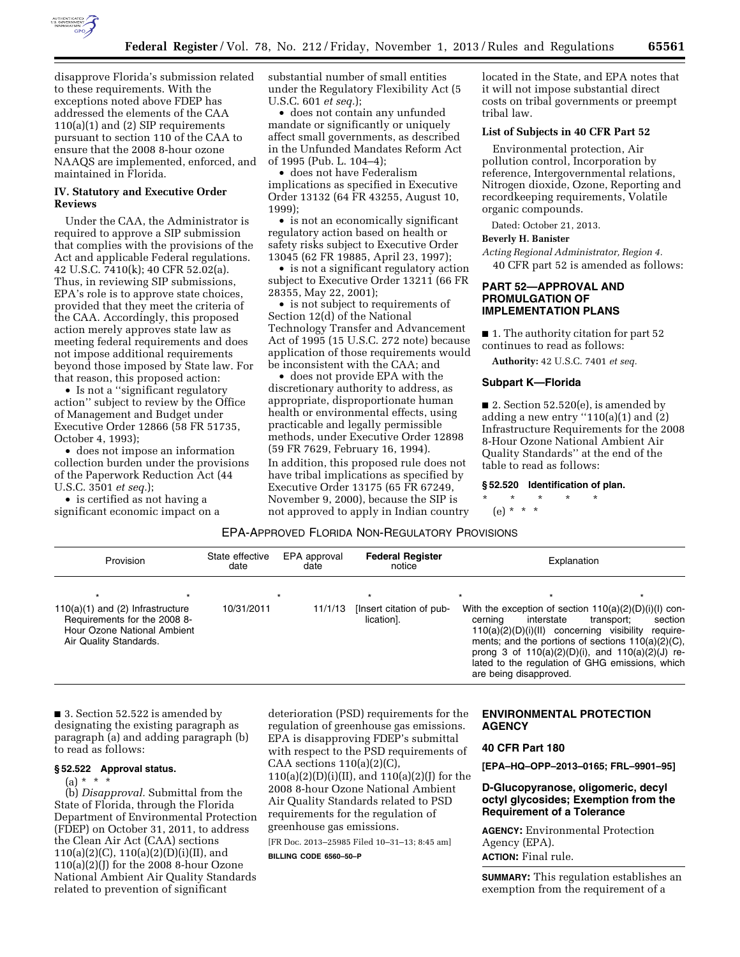

disapprove Florida's submission related to these requirements. With the exceptions noted above FDEP has addressed the elements of the CAA 110(a)(1) and (2) SIP requirements pursuant to section 110 of the CAA to ensure that the 2008 8-hour ozone NAAQS are implemented, enforced, and maintained in Florida.

## **IV. Statutory and Executive Order Reviews**

Under the CAA, the Administrator is required to approve a SIP submission that complies with the provisions of the Act and applicable Federal regulations. 42 U.S.C. 7410(k); 40 CFR 52.02(a). Thus, in reviewing SIP submissions, EPA's role is to approve state choices, provided that they meet the criteria of the CAA. Accordingly, this proposed action merely approves state law as meeting federal requirements and does not impose additional requirements beyond those imposed by State law. For that reason, this proposed action:

• Is not a ''significant regulatory action'' subject to review by the Office of Management and Budget under Executive Order 12866 (58 FR 51735, October 4, 1993);

• does not impose an information collection burden under the provisions of the Paperwork Reduction Act (44 U.S.C. 3501 *et seq.*);

• is certified as not having a significant economic impact on a substantial number of small entities under the Regulatory Flexibility Act (5 U.S.C. 601 *et seq.*);

• does not contain any unfunded mandate or significantly or uniquely affect small governments, as described in the Unfunded Mandates Reform Act of 1995 (Pub. L. 104–4);

• does not have Federalism implications as specified in Executive Order 13132 (64 FR 43255, August 10, 1999);

• is not an economically significant regulatory action based on health or safety risks subject to Executive Order 13045 (62 FR 19885, April 23, 1997);

• is not a significant regulatory action subject to Executive Order 13211 (66 FR 28355, May 22, 2001);

• is not subject to requirements of Section 12(d) of the National Technology Transfer and Advancement Act of 1995 (15 U.S.C. 272 note) because application of those requirements would be inconsistent with the CAA; and

• does not provide EPA with the discretionary authority to address, as appropriate, disproportionate human health or environmental effects, using practicable and legally permissible methods, under Executive Order 12898 (59 FR 7629, February 16, 1994).

In addition, this proposed rule does not have tribal implications as specified by Executive Order 13175 (65 FR 67249, November 9, 2000), because the SIP is not approved to apply in Indian country located in the State, and EPA notes that it will not impose substantial direct costs on tribal governments or preempt tribal law.

# **List of Subjects in 40 CFR Part 52**

Environmental protection, Air pollution control, Incorporation by reference, Intergovernmental relations, Nitrogen dioxide, Ozone, Reporting and recordkeeping requirements, Volatile organic compounds.

Dated: October 21, 2013.

# **Beverly H. Banister**

*Acting Regional Administrator, Region 4.*  40 CFR part 52 is amended as follows:

# **PART 52—APPROVAL AND PROMULGATION OF IMPLEMENTATION PLANS**

■ 1. The authority citation for part 52 continues to read as follows:

**Authority:** 42 U.S.C. 7401 *et seq.* 

# **Subpart K—Florida**

■ 2. Section  $52.520(e)$ , is amended by adding a new entry  $(110(a)(1)$  and  $(2)$ Infrastructure Requirements for the 2008 8-Hour Ozone National Ambient Air Quality Standards'' at the end of the table to read as follows:

**§ 52.520 Identification of plan.** 

\* \* \* \* \* (e) \* \* \*

# EPA-APPROVED FLORIDA NON-REGULATORY PROVISIONS

| Provision                                                                                                                              | State effective<br>EPA approval<br><b>Federal Register</b><br>date<br>date<br>notice |         | Explanation                                       |                                                                                                                                                                                                 |                                                                                        |
|----------------------------------------------------------------------------------------------------------------------------------------|--------------------------------------------------------------------------------------|---------|---------------------------------------------------|-------------------------------------------------------------------------------------------------------------------------------------------------------------------------------------------------|----------------------------------------------------------------------------------------|
| $\star$<br>$110(a)(1)$ and (2) Infrastructure<br>Requirements for the 2008 8-<br>Hour Ozone National Ambient<br>Air Quality Standards. | 10/31/2011                                                                           | 11/1/13 | $\star$<br>[Insert citation of pub-<br>lication1. | With the exception of section 110(a)(2)(D)(i)(l) con-<br>interstate<br>cernina<br>ments; and the portions of sections $110(a)(2)(C)$ ,<br>prong 3 of $110(a)(2)(D)(i)$ , and $110(a)(2)(J)$ re- | $\star$<br>section<br>transport:<br>110(a)(2)(D)(i)(II) concerning visibility require- |
|                                                                                                                                        |                                                                                      |         |                                                   | lated to the regulation of GHG emissions, which<br>are being disapproved.                                                                                                                       |                                                                                        |

■ 3. Section 52.522 is amended by designating the existing paragraph as paragraph (a) and adding paragraph (b) to read as follows:

# **§ 52.522 Approval status.**

 $(a) * * * *$ 

(b) *Disapproval.* Submittal from the State of Florida, through the Florida Department of Environmental Protection (FDEP) on October 31, 2011, to address the Clean Air Act (CAA) sections 110(a)(2)(C), 110(a)(2)(D)(i)(II), and 110(a)(2)(J) for the 2008 8-hour Ozone National Ambient Air Quality Standards related to prevention of significant

deterioration (PSD) requirements for the regulation of greenhouse gas emissions. EPA is disapproving FDEP's submittal with respect to the PSD requirements of CAA sections  $110(a)(2)(C)$ 110(a)(2)(D)(i)(II), and 110(a)(2)(J) for the 2008 8-hour Ozone National Ambient Air Quality Standards related to PSD requirements for the regulation of greenhouse gas emissions.

[FR Doc. 2013–25985 Filed 10–31–13; 8:45 am]

**BILLING CODE 6560–50–P** 

# **ENVIRONMENTAL PROTECTION AGENCY**

# **40 CFR Part 180**

**[EPA–HQ–OPP–2013–0165; FRL–9901–95]** 

# **D-Glucopyranose, oligomeric, decyl octyl glycosides; Exemption from the Requirement of a Tolerance**

**AGENCY:** Environmental Protection Agency (EPA). **ACTION:** Final rule.

**SUMMARY:** This regulation establishes an exemption from the requirement of a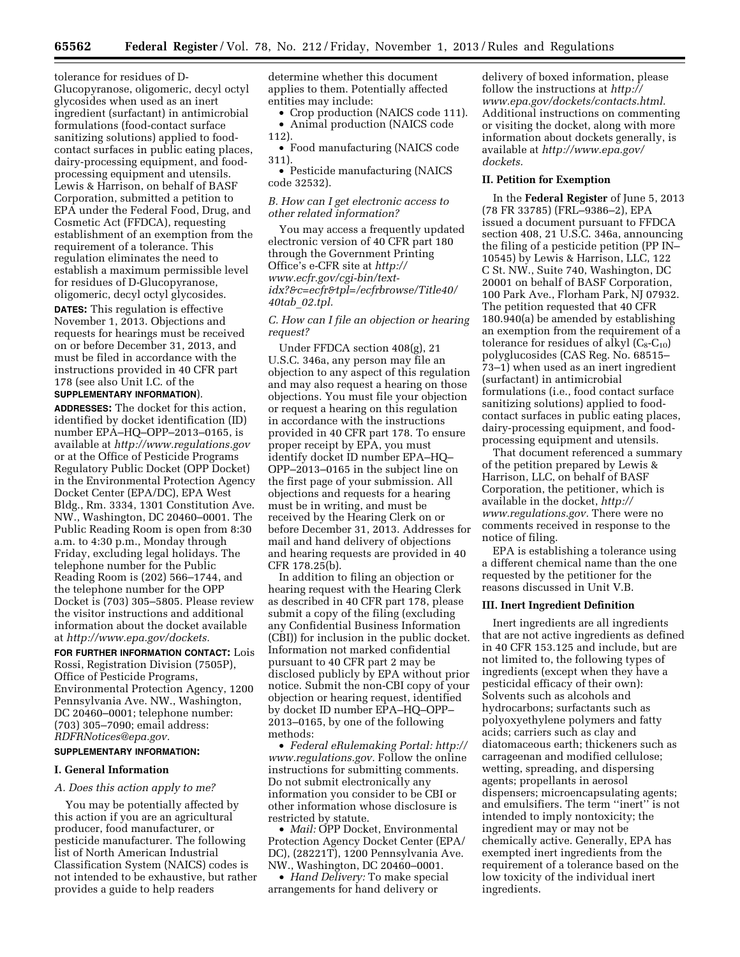tolerance for residues of D-Glucopyranose, oligomeric, decyl octyl glycosides when used as an inert ingredient (surfactant) in antimicrobial formulations (food-contact surface sanitizing solutions) applied to foodcontact surfaces in public eating places, dairy-processing equipment, and foodprocessing equipment and utensils. Lewis & Harrison, on behalf of BASF Corporation, submitted a petition to EPA under the Federal Food, Drug, and Cosmetic Act (FFDCA), requesting establishment of an exemption from the requirement of a tolerance. This regulation eliminates the need to establish a maximum permissible level for residues of D-Glucopyranose, oligomeric, decyl octyl glycosides.

**DATES:** This regulation is effective November 1, 2013. Objections and requests for hearings must be received on or before December 31, 2013, and must be filed in accordance with the instructions provided in 40 CFR part 178 (see also Unit I.C. of the

#### **SUPPLEMENTARY INFORMATION**).

**ADDRESSES:** The docket for this action, identified by docket identification (ID) number EPA–HQ–OPP–2013–0165, is available at *<http://www.regulations.gov>* or at the Office of Pesticide Programs Regulatory Public Docket (OPP Docket) in the Environmental Protection Agency Docket Center (EPA/DC), EPA West Bldg., Rm. 3334, 1301 Constitution Ave. NW., Washington, DC 20460–0001. The Public Reading Room is open from 8:30 a.m. to 4:30 p.m., Monday through Friday, excluding legal holidays. The telephone number for the Public Reading Room is (202) 566–1744, and the telephone number for the OPP Docket is (703) 305–5805. Please review the visitor instructions and additional information about the docket available at *[http://www.epa.gov/dockets.](http://www.epa.gov/dockets)* 

**FOR FURTHER INFORMATION CONTACT:** Lois Rossi, Registration Division (7505P), Office of Pesticide Programs, Environmental Protection Agency, 1200 Pennsylvania Ave. NW., Washington, DC 20460–0001; telephone number: (703) 305–7090; email address: *[RDFRNotices@epa.gov.](mailto:RDFRNotices@epa.gov)* 

# **SUPPLEMENTARY INFORMATION:**

# **I. General Information**

#### *A. Does this action apply to me?*

You may be potentially affected by this action if you are an agricultural producer, food manufacturer, or pesticide manufacturer. The following list of North American Industrial Classification System (NAICS) codes is not intended to be exhaustive, but rather provides a guide to help readers

determine whether this document applies to them. Potentially affected entities may include:

• Crop production (NAICS code 111). • Animal production (NAICS code 112).

• Food manufacturing (NAICS code 311).

• Pesticide manufacturing (NAICS code 32532).

## *B. How can I get electronic access to other related information?*

You may access a frequently updated electronic version of 40 CFR part 180 through the Government Printing Office's e-CFR site at *[http://](http://www.ecfr.gov/cgi-bin/text-idx?&c=ecfr&tpl=/ecfrbrowse/Title40/40tab_02.tpl) www.ecfr.gov/cgi-bin/text[idx?&c=ecfr&tpl=/ecfrbrowse/Title40/](http://www.ecfr.gov/cgi-bin/text-idx?&c=ecfr&tpl=/ecfrbrowse/Title40/40tab_02.tpl) 40tab*\_*02.tpl.* 

# *C. How can I file an objection or hearing request?*

Under FFDCA section 408(g), 21 U.S.C. 346a, any person may file an objection to any aspect of this regulation and may also request a hearing on those objections. You must file your objection or request a hearing on this regulation in accordance with the instructions provided in 40 CFR part 178. To ensure proper receipt by EPA, you must identify docket ID number EPA–HQ– OPP–2013–0165 in the subject line on the first page of your submission. All objections and requests for a hearing must be in writing, and must be received by the Hearing Clerk on or before December 31, 2013. Addresses for mail and hand delivery of objections and hearing requests are provided in 40 CFR 178.25(b).

In addition to filing an objection or hearing request with the Hearing Clerk as described in 40 CFR part 178, please submit a copy of the filing (excluding any Confidential Business Information (CBI)) for inclusion in the public docket. Information not marked confidential pursuant to 40 CFR part 2 may be disclosed publicly by EPA without prior notice. Submit the non-CBI copy of your objection or hearing request, identified by docket ID number EPA–HQ–OPP– 2013–0165, by one of the following methods:

• *Federal eRulemaking Portal: [http://](http://www.regulations.gov)  [www.regulations.gov.](http://www.regulations.gov)* Follow the online instructions for submitting comments. Do not submit electronically any information you consider to be CBI or other information whose disclosure is restricted by statute.

• *Mail:* OPP Docket, Environmental Protection Agency Docket Center (EPA/ DC), (28221T), 1200 Pennsylvania Ave. NW., Washington, DC 20460–0001.

• *Hand Delivery:* To make special arrangements for hand delivery or

delivery of boxed information, please follow the instructions at *[http://](http://www.epa.gov/dockets/contacts.html) [www.epa.gov/dockets/contacts.html.](http://www.epa.gov/dockets/contacts.html)*  Additional instructions on commenting or visiting the docket, along with more information about dockets generally, is available at *[http://www.epa.gov/](http://www.epa.gov/dockets) [dockets.](http://www.epa.gov/dockets)* 

#### **II. Petition for Exemption**

In the **Federal Register** of June 5, 2013 (78 FR 33785) (FRL–9386–2), EPA issued a document pursuant to FFDCA section 408, 21 U.S.C. 346a, announcing the filing of a pesticide petition (PP IN– 10545) by Lewis & Harrison, LLC, 122 C St. NW., Suite 740, Washington, DC 20001 on behalf of BASF Corporation, 100 Park Ave., Florham Park, NJ 07932. The petition requested that 40 CFR 180.940(a) be amended by establishing an exemption from the requirement of a tolerance for residues of alkyl  $(C_8-C_{10})$ polyglucosides (CAS Reg. No. 68515– 73–1) when used as an inert ingredient (surfactant) in antimicrobial formulations (i.e., food contact surface sanitizing solutions) applied to foodcontact surfaces in public eating places, dairy-processing equipment, and foodprocessing equipment and utensils.

That document referenced a summary of the petition prepared by Lewis & Harrison, LLC, on behalf of BASF Corporation, the petitioner, which is available in the docket, *[http://](http://www.regulations.gov) [www.regulations.gov.](http://www.regulations.gov)* There were no comments received in response to the notice of filing.

EPA is establishing a tolerance using a different chemical name than the one requested by the petitioner for the reasons discussed in Unit V.B.

### **III. Inert Ingredient Definition**

Inert ingredients are all ingredients that are not active ingredients as defined in 40 CFR 153.125 and include, but are not limited to, the following types of ingredients (except when they have a pesticidal efficacy of their own): Solvents such as alcohols and hydrocarbons; surfactants such as polyoxyethylene polymers and fatty acids; carriers such as clay and diatomaceous earth; thickeners such as carrageenan and modified cellulose; wetting, spreading, and dispersing agents; propellants in aerosol dispensers; microencapsulating agents; and emulsifiers. The term ''inert'' is not intended to imply nontoxicity; the ingredient may or may not be chemically active. Generally, EPA has exempted inert ingredients from the requirement of a tolerance based on the low toxicity of the individual inert ingredients.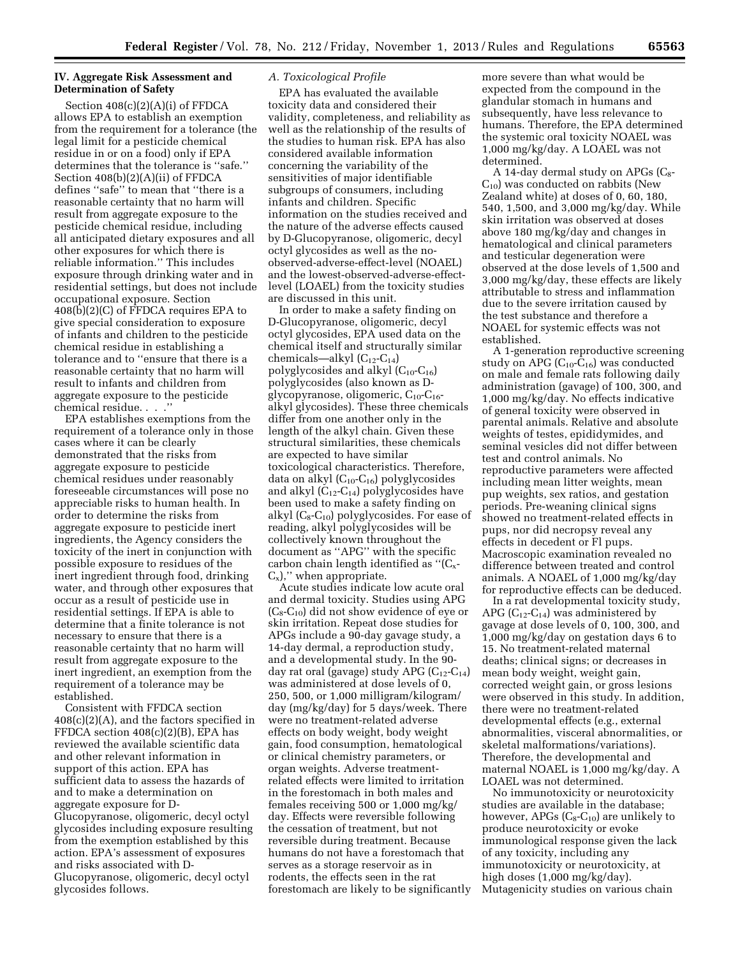## **IV. Aggregate Risk Assessment and Determination of Safety**

Section 408(c)(2)(A)(i) of FFDCA allows EPA to establish an exemption from the requirement for a tolerance (the legal limit for a pesticide chemical residue in or on a food) only if EPA determines that the tolerance is ''safe.'' Section 408(b)(2)(A)(ii) of FFDCA defines ''safe'' to mean that ''there is a reasonable certainty that no harm will result from aggregate exposure to the pesticide chemical residue, including all anticipated dietary exposures and all other exposures for which there is reliable information.'' This includes exposure through drinking water and in residential settings, but does not include occupational exposure. Section 408(b)(2)(C) of FFDCA requires EPA to give special consideration to exposure of infants and children to the pesticide chemical residue in establishing a tolerance and to ''ensure that there is a reasonable certainty that no harm will result to infants and children from aggregate exposure to the pesticide chemical residue. . . .''

EPA establishes exemptions from the requirement of a tolerance only in those cases where it can be clearly demonstrated that the risks from aggregate exposure to pesticide chemical residues under reasonably foreseeable circumstances will pose no appreciable risks to human health. In order to determine the risks from aggregate exposure to pesticide inert ingredients, the Agency considers the toxicity of the inert in conjunction with possible exposure to residues of the inert ingredient through food, drinking water, and through other exposures that occur as a result of pesticide use in residential settings. If EPA is able to determine that a finite tolerance is not necessary to ensure that there is a reasonable certainty that no harm will result from aggregate exposure to the inert ingredient, an exemption from the requirement of a tolerance may be established.

Consistent with FFDCA section 408(c)(2)(A), and the factors specified in FFDCA section 408(c)(2)(B), EPA has reviewed the available scientific data and other relevant information in support of this action. EPA has sufficient data to assess the hazards of and to make a determination on aggregate exposure for D-Glucopyranose, oligomeric, decyl octyl glycosides including exposure resulting from the exemption established by this action. EPA's assessment of exposures and risks associated with D-Glucopyranose, oligomeric, decyl octyl glycosides follows.

### *A. Toxicological Profile*

EPA has evaluated the available toxicity data and considered their validity, completeness, and reliability as well as the relationship of the results of the studies to human risk. EPA has also considered available information concerning the variability of the sensitivities of major identifiable subgroups of consumers, including infants and children. Specific information on the studies received and the nature of the adverse effects caused by D-Glucopyranose, oligomeric, decyl octyl glycosides as well as the noobserved-adverse-effect-level (NOAEL) and the lowest-observed-adverse-effectlevel (LOAEL) from the toxicity studies are discussed in this unit.

In order to make a safety finding on D-Glucopyranose, oligomeric, decyl octyl glycosides, EPA used data on the chemical itself and structurally similar chemicals—alkyl  $(C_{12}-C_{14})$ polyglycosides and alkyl  $(C_{10}$ - $C_{16})$ polyglycosides (also known as Dglycopyranose, oligomeric,  $C_{10}$ - $C_{16}$ alkyl glycosides). These three chemicals differ from one another only in the length of the alkyl chain. Given these structural similarities, these chemicals are expected to have similar toxicological characteristics. Therefore, data on alkyl  $(C_{10}$ - $C_{16}$ ) polyglycosides and alkyl  $(C_{12}-C_{14})$  polyglycosides have been used to make a safety finding on alkyl  $(C_8-C_{10})$  polyglycosides. For ease of reading, alkyl polyglycosides will be collectively known throughout the document as ''APG'' with the specific carbon chain length identified as " $(C_x$ - $C_{x}$ )," when appropriate.

Acute studies indicate low acute oral and dermal toxicity. Studies using APG  $(C_8-C_{10})$  did not show evidence of eye or skin irritation. Repeat dose studies for APGs include a 90-day gavage study, a 14-day dermal, a reproduction study, and a developmental study. In the 90 day rat oral (gavage) study APG  $(C_{12}-C_{14})$ was administered at dose levels of 0, 250, 500, or 1,000 milligram/kilogram/ day (mg/kg/day) for 5 days/week. There were no treatment-related adverse effects on body weight, body weight gain, food consumption, hematological or clinical chemistry parameters, or organ weights. Adverse treatmentrelated effects were limited to irritation in the forestomach in both males and females receiving 500 or 1,000 mg/kg/ day. Effects were reversible following the cessation of treatment, but not reversible during treatment. Because humans do not have a forestomach that serves as a storage reservoir as in rodents, the effects seen in the rat forestomach are likely to be significantly

more severe than what would be expected from the compound in the glandular stomach in humans and subsequently, have less relevance to humans. Therefore, the EPA determined the systemic oral toxicity NOAEL was 1,000 mg/kg/day. A LOAEL was not determined.

A 14-day dermal study on APGs  $(C_8$ - $C_{10}$ ) was conducted on rabbits (New Zealand white) at doses of 0, 60, 180, 540, 1,500, and 3,000 mg/kg/day. While skin irritation was observed at doses above 180 mg/kg/day and changes in hematological and clinical parameters and testicular degeneration were observed at the dose levels of 1,500 and 3,000 mg/kg/day, these effects are likely attributable to stress and inflammation due to the severe irritation caused by the test substance and therefore a NOAEL for systemic effects was not established.

A 1-generation reproductive screening study on APG  $(C_{10}$ - $C_{16})$  was conducted on male and female rats following daily administration (gavage) of 100, 300, and 1,000 mg/kg/day. No effects indicative of general toxicity were observed in parental animals. Relative and absolute weights of testes, epididymides, and seminal vesicles did not differ between test and control animals. No reproductive parameters were affected including mean litter weights, mean pup weights, sex ratios, and gestation periods. Pre-weaning clinical signs showed no treatment-related effects in pups, nor did necropsy reveal any effects in decedent or Fl pups. Macroscopic examination revealed no difference between treated and control animals. A NOAEL of 1,000 mg/kg/day for reproductive effects can be deduced.

In a rat developmental toxicity study, APG  $(C_{12}-C_{14})$  was administered by gavage at dose levels of 0, 100, 300, and 1,000 mg/kg/day on gestation days 6 to 15. No treatment-related maternal deaths; clinical signs; or decreases in mean body weight, weight gain, corrected weight gain, or gross lesions were observed in this study. In addition, there were no treatment-related developmental effects (e.g., external abnormalities, visceral abnormalities, or skeletal malformations/variations). Therefore, the developmental and maternal NOAEL is 1,000 mg/kg/day. A LOAEL was not determined.

No immunotoxicity or neurotoxicity studies are available in the database; however, APGs  $(C_8-C_{10})$  are unlikely to produce neurotoxicity or evoke immunological response given the lack of any toxicity, including any immunotoxicity or neurotoxicity, at high doses (1,000 mg/kg/day). Mutagenicity studies on various chain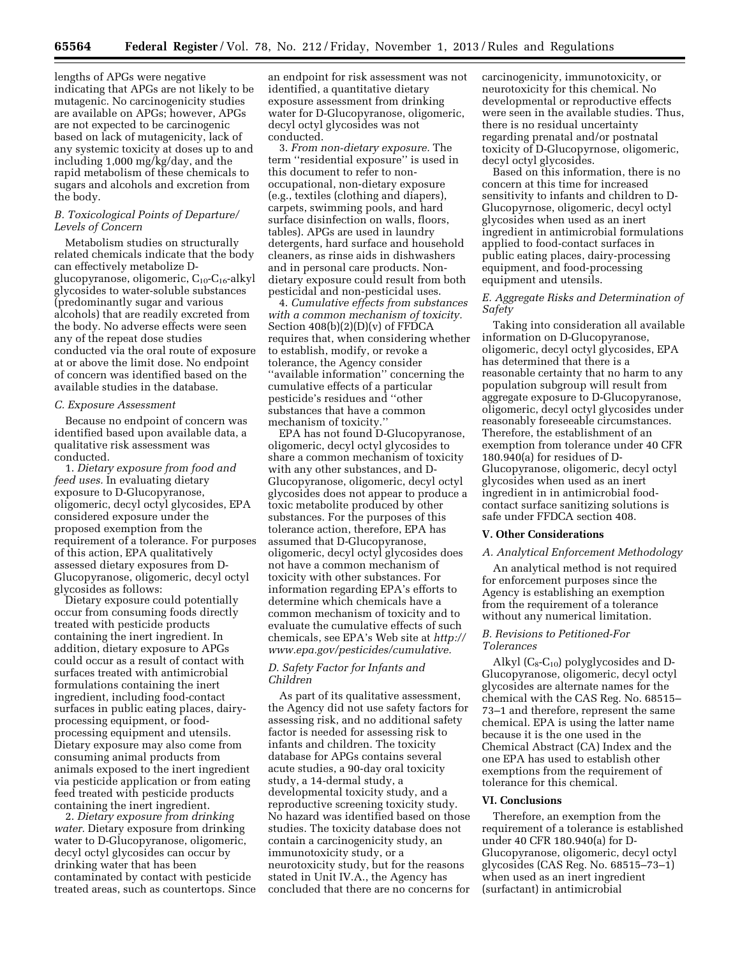lengths of APGs were negative indicating that APGs are not likely to be mutagenic. No carcinogenicity studies are available on APGs; however, APGs are not expected to be carcinogenic based on lack of mutagenicity, lack of any systemic toxicity at doses up to and including 1,000 mg/kg/day, and the rapid metabolism of these chemicals to sugars and alcohols and excretion from the body.

## *B. Toxicological Points of Departure/ Levels of Concern*

Metabolism studies on structurally related chemicals indicate that the body can effectively metabolize Dglucopyranose, oligomeric, C<sub>10</sub>-C<sub>16</sub>-alkyl glycosides to water-soluble substances (predominantly sugar and various alcohols) that are readily excreted from the body. No adverse effects were seen any of the repeat dose studies conducted via the oral route of exposure at or above the limit dose. No endpoint of concern was identified based on the available studies in the database.

## *C. Exposure Assessment*

Because no endpoint of concern was identified based upon available data, a qualitative risk assessment was conducted.

1. *Dietary exposure from food and feed uses.* In evaluating dietary exposure to D-Glucopyranose, oligomeric, decyl octyl glycosides, EPA considered exposure under the proposed exemption from the requirement of a tolerance. For purposes of this action, EPA qualitatively assessed dietary exposures from D-Glucopyranose, oligomeric, decyl octyl glycosides as follows:

Dietary exposure could potentially occur from consuming foods directly treated with pesticide products containing the inert ingredient. In addition, dietary exposure to APGs could occur as a result of contact with surfaces treated with antimicrobial formulations containing the inert ingredient, including food-contact surfaces in public eating places, dairyprocessing equipment, or foodprocessing equipment and utensils. Dietary exposure may also come from consuming animal products from animals exposed to the inert ingredient via pesticide application or from eating feed treated with pesticide products containing the inert ingredient.

2. *Dietary exposure from drinking water.* Dietary exposure from drinking water to D-Glucopyranose, oligomeric, decyl octyl glycosides can occur by drinking water that has been contaminated by contact with pesticide treated areas, such as countertops. Since an endpoint for risk assessment was not identified, a quantitative dietary exposure assessment from drinking water for D-Glucopyranose, oligomeric, decyl octyl glycosides was not conducted.

3. *From non-dietary exposure.* The term ''residential exposure'' is used in this document to refer to nonoccupational, non-dietary exposure (e.g., textiles (clothing and diapers), carpets, swimming pools, and hard surface disinfection on walls, floors, tables). APGs are used in laundry detergents, hard surface and household cleaners, as rinse aids in dishwashers and in personal care products. Nondietary exposure could result from both pesticidal and non-pesticidal uses.

4. *Cumulative effects from substances with a common mechanism of toxicity.*  Section 408(b)(2)(D)(v) of FFDCA requires that, when considering whether to establish, modify, or revoke a tolerance, the Agency consider ''available information'' concerning the cumulative effects of a particular pesticide's residues and ''other substances that have a common mechanism of toxicity.''

EPA has not found D-Glucopyranose, oligomeric, decyl octyl glycosides to share a common mechanism of toxicity with any other substances, and D-Glucopyranose, oligomeric, decyl octyl glycosides does not appear to produce a toxic metabolite produced by other substances. For the purposes of this tolerance action, therefore, EPA has assumed that D-Glucopyranose, oligomeric, decyl octyl glycosides does not have a common mechanism of toxicity with other substances. For information regarding EPA's efforts to determine which chemicals have a common mechanism of toxicity and to evaluate the cumulative effects of such chemicals, see EPA's Web site at *[http://](http://www.epa.gov/pesticides/cumulative) [www.epa.gov/pesticides/cumulative.](http://www.epa.gov/pesticides/cumulative)* 

# *D. Safety Factor for Infants and Children*

As part of its qualitative assessment, the Agency did not use safety factors for assessing risk, and no additional safety factor is needed for assessing risk to infants and children. The toxicity database for APGs contains several acute studies, a 90-day oral toxicity study, a 14-dermal study, a developmental toxicity study, and a reproductive screening toxicity study. No hazard was identified based on those studies. The toxicity database does not contain a carcinogenicity study, an immunotoxicity study, or a neurotoxicity study, but for the reasons stated in Unit IV.A., the Agency has concluded that there are no concerns for

carcinogenicity, immunotoxicity, or neurotoxicity for this chemical. No developmental or reproductive effects were seen in the available studies. Thus, there is no residual uncertainty regarding prenatal and/or postnatal toxicity of D-Glucopyrnose, oligomeric, decyl octyl glycosides.

Based on this information, there is no concern at this time for increased sensitivity to infants and children to D-Glucopyrnose, oligomeric, decyl octyl glycosides when used as an inert ingredient in antimicrobial formulations applied to food-contact surfaces in public eating places, dairy-processing equipment, and food-processing equipment and utensils.

# *E. Aggregate Risks and Determination of Safety*

Taking into consideration all available information on D-Glucopyranose, oligomeric, decyl octyl glycosides, EPA has determined that there is a reasonable certainty that no harm to any population subgroup will result from aggregate exposure to D-Glucopyranose, oligomeric, decyl octyl glycosides under reasonably foreseeable circumstances. Therefore, the establishment of an exemption from tolerance under 40 CFR 180.940(a) for residues of D-Glucopyranose, oligomeric, decyl octyl glycosides when used as an inert ingredient in in antimicrobial foodcontact surface sanitizing solutions is safe under FFDCA section 408.

#### **V. Other Considerations**

## *A. Analytical Enforcement Methodology*

An analytical method is not required for enforcement purposes since the Agency is establishing an exemption from the requirement of a tolerance without any numerical limitation.

# *B. Revisions to Petitioned-For Tolerances*

Alkyl  $(C_8-C_{10})$  polyglycosides and D-Glucopyranose, oligomeric, decyl octyl glycosides are alternate names for the chemical with the CAS Reg. No. 68515– 73–1 and therefore, represent the same chemical. EPA is using the latter name because it is the one used in the Chemical Abstract (CA) Index and the one EPA has used to establish other exemptions from the requirement of tolerance for this chemical.

### **VI. Conclusions**

Therefore, an exemption from the requirement of a tolerance is established under 40 CFR 180.940(a) for D-Glucopyranose, oligomeric, decyl octyl glycosides (CAS Reg. No. 68515–73–1) when used as an inert ingredient (surfactant) in antimicrobial